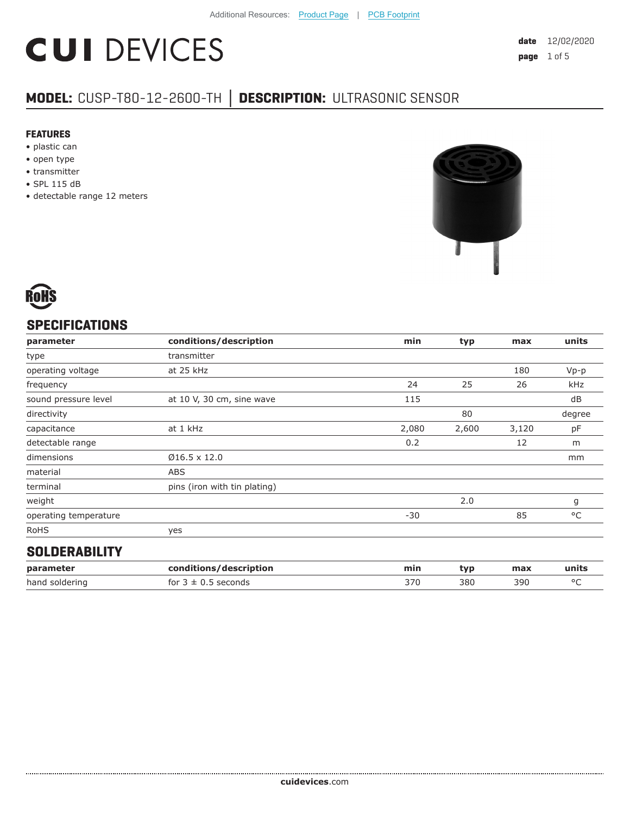# **CUI DEVICES**

### **MODEL:** CUSP-T80-12-2600-TH **│ DESCRIPTION:** ULTRASONIC SENSOR

#### **FEATURES**

- plastic can
- open type
- transmitter
- SPL 115 dB
- detectable range 12 meters



#### **SPECIFICATIONS**

| parameter             | conditions/description       | min   | typ   | max   | units        |
|-----------------------|------------------------------|-------|-------|-------|--------------|
| type                  | transmitter                  |       |       |       |              |
| operating voltage     | at 25 kHz                    |       |       | 180   | $Vp-p$       |
| frequency             |                              | 24    | 25    | 26    | kHz          |
| sound pressure level  | at 10 V, 30 cm, sine wave    | 115   |       |       | dB           |
| directivity           |                              |       | 80    |       | degree       |
| capacitance           | at 1 kHz                     | 2,080 | 2,600 | 3,120 | pF           |
| detectable range      |                              | 0.2   |       | 12    | m            |
| dimensions            | $Ø16.5 \times 12.0$          |       |       |       | mm           |
| material              | ABS                          |       |       |       |              |
| terminal              | pins (iron with tin plating) |       |       |       |              |
| weight                |                              |       | 2.0   |       | g            |
| operating temperature |                              | $-30$ |       | 85    | $^{\circ}$ C |
| <b>RoHS</b>           | yes                          |       |       |       |              |
|                       |                              |       |       |       |              |

#### **SOLDERABILITY**

| parameter      | conditions/description         | min | tvp | max | units |
|----------------|--------------------------------|-----|-----|-----|-------|
| hand soldering | seconds -<br>for $3 \pm 0.5$ . | 370 | 380 | 390 |       |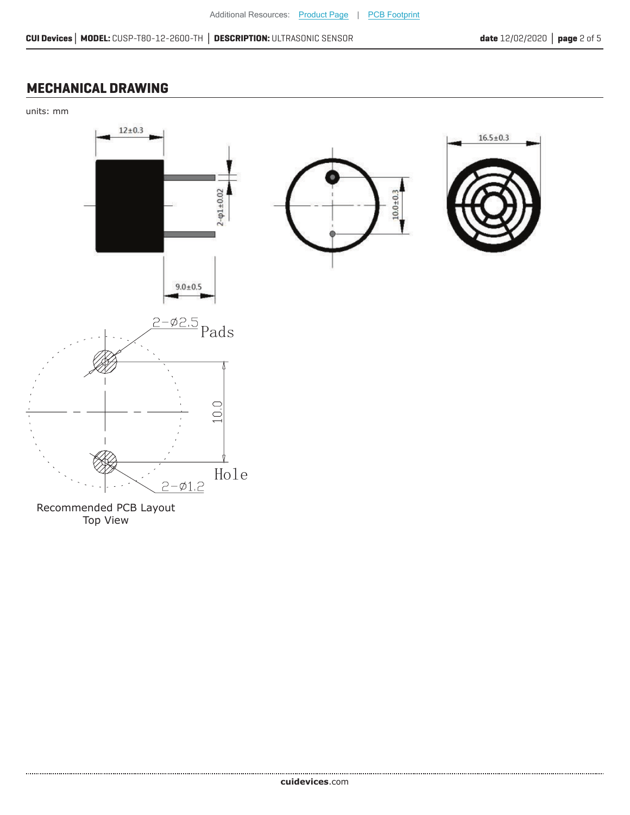#### **MECHANICAL DRAWING**

units: mm



Recommended PCB Layout Top View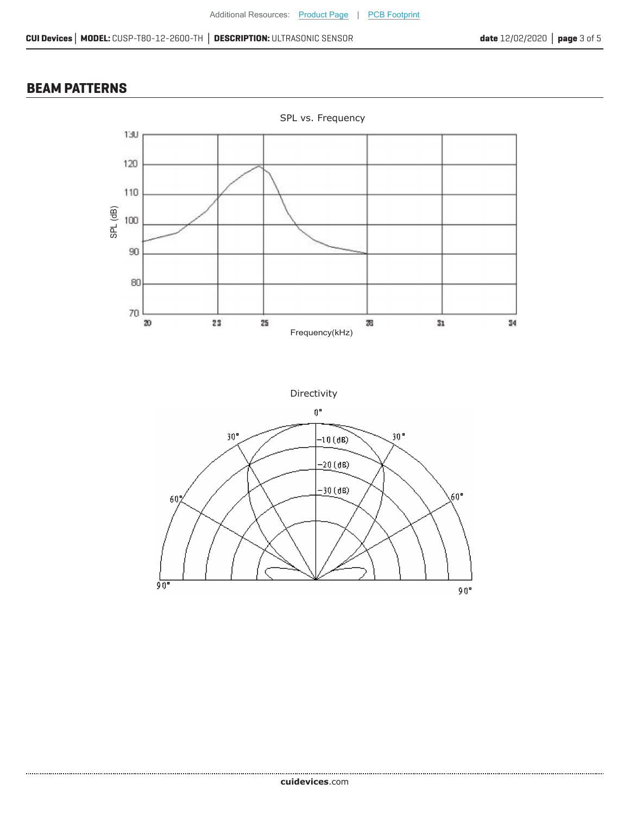#### **BEAM PATTERNS**

.....................



Directivity

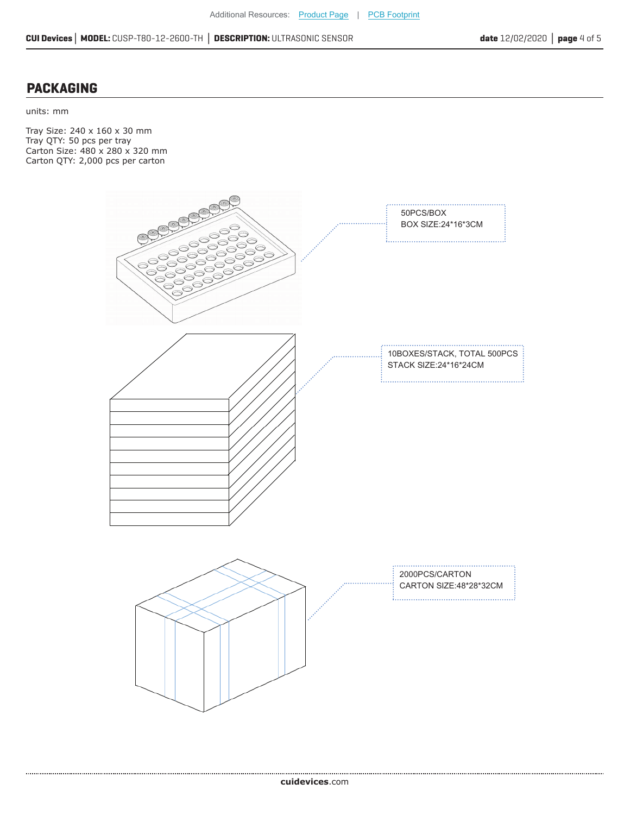#### **PACKAGING**

units: mm

Tray Size: 240 x 160 x 30 mm Tray QTY: 50 pcs per tray Carton Size: 480 x 280 x 320 mm Carton QTY: 2,000 pcs per carton